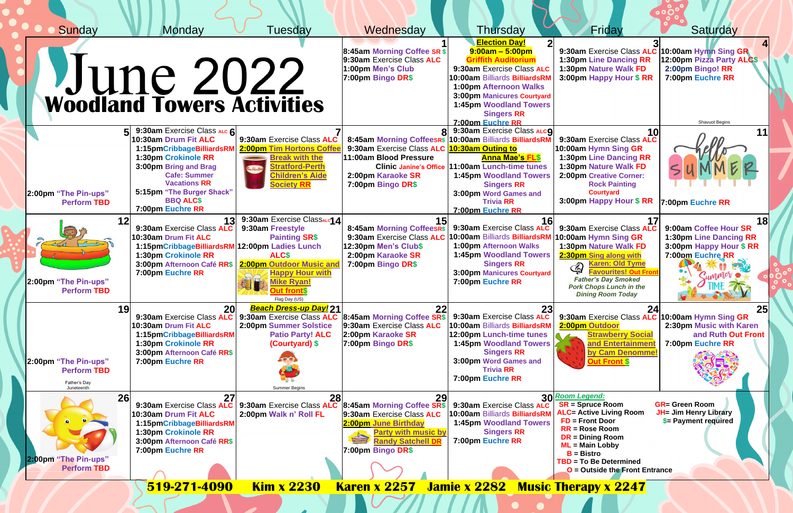| Sunday<br>Monday                                                                                                                                                                                                                                                                                  | Tuesday                                                                                                                                                                                                    | Wednesday                                                                                                                                                                                                              | Thursday                                                                                                                                                                                                                                                                                | Friday                                                                                                                                                                                                                                                                                                                                                                                                                                                                                                                                                                                                                                                                                                                                                                                           | Saturday                                                                                                                                     |
|---------------------------------------------------------------------------------------------------------------------------------------------------------------------------------------------------------------------------------------------------------------------------------------------------|------------------------------------------------------------------------------------------------------------------------------------------------------------------------------------------------------------|------------------------------------------------------------------------------------------------------------------------------------------------------------------------------------------------------------------------|-----------------------------------------------------------------------------------------------------------------------------------------------------------------------------------------------------------------------------------------------------------------------------------------|--------------------------------------------------------------------------------------------------------------------------------------------------------------------------------------------------------------------------------------------------------------------------------------------------------------------------------------------------------------------------------------------------------------------------------------------------------------------------------------------------------------------------------------------------------------------------------------------------------------------------------------------------------------------------------------------------------------------------------------------------------------------------------------------------|----------------------------------------------------------------------------------------------------------------------------------------------|
| <b>June 2022</b><br>Woodland Towers Activities                                                                                                                                                                                                                                                    |                                                                                                                                                                                                            | 8:45am Morning Coffee SR \$<br>9:30am Exercise Class ALC<br>1:00pm Men's Club<br>7:00pm Bingo DR\$                                                                                                                     | <b>Election Day!</b><br>$9:00am - 5:00pm$<br><b>Griffith Auditorium</b><br>9:30am Exercise Class ALC<br>10:00am Billiards BilliardsRN<br>1:00pm Afternoon Walks<br><b>3:00pm Manicures Courtyard</b><br><b>1:45pm Woodland Towers</b><br><b>Singers RR</b><br>7:00pm Euchre RR          | 9:30am Exercise Class ALC 10:00am Hymn Sing GR<br><b>1:30pm Line Dancing RR</b><br>1:30pm Nature Walk FD<br>3:00pm Happy Hour \$ RR                                                                                                                                                                                                                                                                                                                                                                                                                                                                                                                                                                                                                                                              | 12:00pm Pizza Party ALC\$<br>2:00pm Bingo! RR<br>7:00pm Euchre RR<br><b>Shavuot Begins</b>                                                   |
| 9:30am Exercise Class ALC 6<br>10:30am Drum Fit ALC<br>1:15pmCribbageBilliardsRN<br>1:30pm Crokinole RR<br>3:00pm Bring and Brag<br><b>Cafe: Summer</b><br><b>Vacations RR</b><br>5:15pm "The Burger Shack"<br>2:00pm "The Pin-ups"<br><b>BBQ ALC\$</b><br><b>Perform TBD</b><br>7:00pm Euchre RR | 9:30am Exercise Class ALC<br>2:00pm Tim Hortons Coffe<br><b>Break with the</b><br><b>Stratford-Perth</b><br>im Horton<br><b>Children's Aide</b><br><b>Society RR</b>                                       | 9:30am Exercise Class ALC<br>11:00am Blood Pressure<br><b>Clinic Janine's Office</b><br>2:00pm Karaoke SR<br>7:00pm Bingo DR\$                                                                                         | 9:30am Exercise Class ALcO<br>8:45am Morning CoffeesR\$ 10:00am Billiards BilliardsRM<br>10:30am Outing to<br><b>Anna Mae's FL\$</b><br>11:00am Lunch-time tunes<br><b>1:45pm Woodland Towers</b><br><b>Singers RR</b><br>3:00pm Word Games and<br><b>Trivia RR</b><br>7:00pm Euchre RR | 9:30am Exercise Class ALC<br>10:00am Hymn Sing GR<br>1:30pm Line Dancing RR<br>1:30pm Nature Walk FD<br><b>2:00pm Creative Corner:</b><br><b>Rock Painting</b><br><b>Courtyard</b><br>3:00pm Happy Hour \$ RR                                                                                                                                                                                                                                                                                                                                                                                                                                                                                                                                                                                    | 7:00pm Euchre RR                                                                                                                             |
| 13<br>9:30am Exercise Class ALC<br>10:30am Drum Fit ALC<br>1:15pmCribbageBilliardsRM<br>1:30pm Crokinole RR<br>3:00pm Afternoon Café RR\$<br>7:00pm Euchre RR<br>2:00pm "The Pin-ups"<br><b>Perform TBD</b>                                                                                       | 9:30am Exercise ClassALC1 4<br>9:30am Freestyle<br><b>Painting SR\$</b><br>12:00pm Ladies Lunch<br><b>ALCS</b><br>2:00pm Outdoor Music and<br><b>Happy Hour with</b><br><b>Mike Ryan!</b><br>Flag Day (US) | 8:45am Morning CoffeesR\$<br>9:30am Exercise Class ALC<br>12:30pm Men's Club\$<br>2:00pm Karaoke SR<br>7:00pm Bingo DR\$                                                                                               | 9:30am Exercise Class ALC<br>10:00am Billiards BilliardsRN<br>1:00pm Afternoon Walks<br><b>1:45pm Woodland Towers</b><br><b>Singers RR</b><br><b>3:00pm Manicures Courtyard</b><br>7:00pm Euchre RR                                                                                     | 9:30am Exercise Class ALC<br>10:00am Hymn Sing GR<br>1:30pm Nature Walk FD<br>2:30pm Sing along with<br><b>Karen: Old Tyme</b><br>$\bigcirc\!\!\!\bigcirc\!\!\!\bigcirc\!\!\!\bigcirc\!\!\!\bigcirc\!\!\!\bigcirc\!\!\!\bigcirc\!\!\!\bigcirc\!\!\!\bigcirc\!\!\!\bigcirc\!\!\!\bigcirc\!\!\!\bigcirc\!\!\!\bigcirc\!\!\!\bigcirc\!\!\!\bigcirc\!\!\!\bigcirc\!\!\!\bigcirc\!\!\!\bigcirc\!\!\!\bigcirc\!\!\!\bigcirc\!\!\!\bigcirc\!\!\!\bigcirc\!\!\!\bigcirc\!\!\!\bigcirc\!\!\!\bigcirc\!\!\!\bigcirc\!\!\!\bigcirc\!\!\!\bigcirc\!\!\!\bigcirc\!\!\!\bigcirc\!\!\!\bigcirc\!\!\!\bigcirc\!\!\!\bigcirc\!\!\!\bigcirc\!\!\!\bigcirc\!\!\!\bigcirc\!\!\!\bigcirc\$<br><b>Favourites! Out Fron</b><br><b>Father's Day Smoked</b><br><b>Pork Chops Lunch in the</b><br><b>Dining Room Today</b> | 9:00am Coffee Hour SR<br><b>1:30pm Line Dancing RR</b><br>3:00pm Happy Hour \$ RR<br>7:00pm Euchre RR<br>WE SHARE THE COMPANY OF THE COMPANY |
| 19<br>20<br>9:30am Exercise Class ALC<br>10:30am Drum Fit ALC<br>1:15pmCribbageBilliardsRM<br>1:30pm Crokinole RR<br>3:00pm Afternoon Café RR\$<br>2:00pm "The Pin-ups"<br>7:00pm Euchre RR<br><b>Perform TBD</b><br>Father's Day<br>Juneteenth                                                   | <b>Beach Dress-up Day! 21</b><br>2:00pm Summer Solstice<br><b>Patio Party! ALC</b><br>(Courtyard) \$<br><b>Summer Begins</b>                                                                               | 9:30am Exercise Class ALC 8:45am Morning Coffee SR\$<br>9:30am Exercise Class ALC<br>2:00pm Karaoke SR<br>7:00pm Bingo DR\$                                                                                            | 23<br>9:30am Exercise Class ALC<br>10:00am Billiards BilliardsRN<br>12:00pm Lunch-time tunes<br><b>1:45pm Woodland Towers</b><br><b>Singers RR</b><br>3:00pm Word Games and<br><b>Trivia RR</b><br>7:00pm Euchre RR                                                                     | 9:30am Exercise Class ALC 10:00am Hymn Sing GR<br>2:00pm Outdoor<br><b>Strawberry Social</b><br>and Entertainment<br>by Cam Denomme!<br><b>Out Front \$</b>                                                                                                                                                                                                                                                                                                                                                                                                                                                                                                                                                                                                                                      | 2:30pm Music with Karen<br>and Ruth Out Front<br>7:00pm Euchre RR                                                                            |
| 27<br>26<br>9:30am Exercise Class ALC<br>10:30am Drum Fit ALC<br>1:15pmCribbageBilliardsRM<br>1:30pm Crokinole RR<br>3:00pm Afternoon Café RR\$<br>7:00pm Euchre RR<br>2:00pm "The Pin-ups"<br><b>Perform TBD</b>                                                                                 | 2:00pm Walk n' Roll FL                                                                                                                                                                                     | 29<br>9:30am Exercise Class ALC 8:45am Morning Coffee SR\$<br>9:30am Exercise Class ALC<br>2:00pm June Birthday<br><b>Party with music by</b><br>$\frac{1}{\sqrt{2}}$<br><b>Randy Satchell DR</b><br>7:00pm Bingo DR\$ | 9:30am Exercise Class ALC<br>10:00am Billiards BilliardsRM<br><b>1:45pm Woodland Towers</b><br><b>Singers RR</b><br>7:00pm Euchre RR                                                                                                                                                    | 30 Room Legend:<br><b>SR = Spruce Room</b><br><b>ALC= Active Living Room</b><br>$FD =$ Front Door<br>$RR = Rose Room$<br>$DR = Dining Room$<br>$ML = Main Lobby$<br>$B = Bistro$<br><b>TBD = To Be Determined</b><br>$O =$ Outside the Front Entrance                                                                                                                                                                                                                                                                                                                                                                                                                                                                                                                                            | <b>GR= Green Room</b><br><b>JH= Jim Henry Library</b><br>\$= Payment required                                                                |
| <b>Karen x 2257 Jamie x 2282</b><br>519-271-4090<br><b>Kim x 2230</b><br><b>Music Therapy x 2247</b>                                                                                                                                                                                              |                                                                                                                                                                                                            |                                                                                                                                                                                                                        |                                                                                                                                                                                                                                                                                         |                                                                                                                                                                                                                                                                                                                                                                                                                                                                                                                                                                                                                                                                                                                                                                                                  |                                                                                                                                              |

 $\mathcal{L}(\mathcal{L})$ 

**Contract Contract** 

<u>a sa Bara</u>

**Designation** 

7 7 7 7 7 A